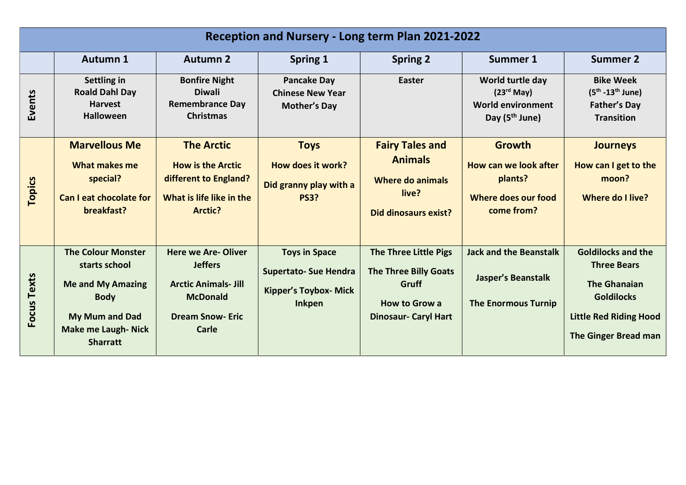| Reception and Nursery - Long term Plan 2021-2022 |                                                                                                                                                         |                                                                                                                                         |                                                                                                       |                                                                                                                              |                                                                                                      |                                                                                                                                                      |
|--------------------------------------------------|---------------------------------------------------------------------------------------------------------------------------------------------------------|-----------------------------------------------------------------------------------------------------------------------------------------|-------------------------------------------------------------------------------------------------------|------------------------------------------------------------------------------------------------------------------------------|------------------------------------------------------------------------------------------------------|------------------------------------------------------------------------------------------------------------------------------------------------------|
|                                                  | <b>Autumn 1</b>                                                                                                                                         | <b>Autumn 2</b>                                                                                                                         | Spring 1                                                                                              | <b>Spring 2</b>                                                                                                              | <b>Summer 1</b>                                                                                      | <b>Summer 2</b>                                                                                                                                      |
| Events                                           | Settling in<br><b>Roald Dahl Day</b><br><b>Harvest</b><br><b>Halloween</b>                                                                              | <b>Bonfire Night</b><br><b>Diwali</b><br><b>Remembrance Day</b><br><b>Christmas</b>                                                     | <b>Pancake Day</b><br><b>Chinese New Year</b><br><b>Mother's Day</b>                                  | Easter                                                                                                                       | World turtle day<br>(23 <sup>rd</sup> May)<br><b>World environment</b><br>Day (5 <sup>th</sup> June) | <b>Bike Week</b><br>$(5^{th} - 13^{th}$ June)<br><b>Father's Day</b><br><b>Transition</b>                                                            |
| Topics                                           | <b>Marvellous Me</b><br>What makes me<br>special?<br><b>Can I eat chocolate for</b><br>breakfast?                                                       | <b>The Arctic</b><br><b>How is the Arctic</b><br>different to England?<br>What is life like in the<br><b>Arctic?</b>                    | <b>Toys</b><br>How does it work?<br>Did granny play with a<br><b>PS3?</b>                             | <b>Fairy Tales and</b><br><b>Animals</b><br><b>Where do animals</b><br>live?<br><b>Did dinosaurs exist?</b>                  | <b>Growth</b><br>How can we look after<br>plants?<br>Where does our food<br>come from?               | <b>Journeys</b><br>How can I get to the<br>moon?<br>Where do I live?                                                                                 |
| Focus Texts                                      | <b>The Colour Monster</b><br>starts school<br><b>Me and My Amazing</b><br><b>Body</b><br>My Mum and Dad<br><b>Make me Laugh-Nick</b><br><b>Sharratt</b> | <b>Here we Are-Oliver</b><br><b>Jeffers</b><br><b>Arctic Animals- Jill</b><br><b>McDonald</b><br><b>Dream Snow-Eric</b><br><b>Carle</b> | <b>Toys in Space</b><br><b>Supertato- Sue Hendra</b><br><b>Kipper's Toybox- Mick</b><br><b>Inkpen</b> | <b>The Three Little Pigs</b><br><b>The Three Billy Goats</b><br>Gruff<br><b>How to Grow a</b><br><b>Dinosaur- Caryl Hart</b> | <b>Jack and the Beanstalk</b><br><b>Jasper's Beanstalk</b><br><b>The Enormous Turnip</b>             | <b>Goldilocks and the</b><br><b>Three Bears</b><br><b>The Ghanaian</b><br><b>Goldilocks</b><br><b>Little Red Riding Hood</b><br>The Ginger Bread man |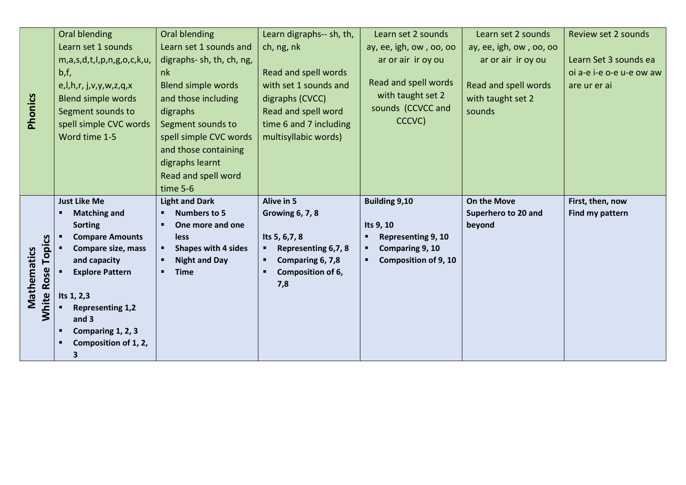|                   | <b>Oral blending</b>            | Oral blending              | Learn digraphs-- sh, th, | Learn set 2 sounds          | Learn set 2 sounds      | Review set 2 sounds      |
|-------------------|---------------------------------|----------------------------|--------------------------|-----------------------------|-------------------------|--------------------------|
|                   | Learn set 1 sounds              | Learn set 1 sounds and     | ch, ng, nk               | ay, ee, igh, ow, oo, oo     | ay, ee, igh, ow, oo, oo |                          |
|                   | m,a,s,d,t,l,p,n,g,o,c,k,u,      | digraphs-sh, th, ch, ng,   |                          | ar or air ir oy ou          | ar or air ir oy ou      | Learn Set 3 sounds ea    |
|                   | b, f,                           | nk                         | Read and spell words     |                             |                         | oi a-e i-e o-e u-e ow aw |
|                   | e, I, h, r, j, v, y, w, z, q, x | <b>Blend simple words</b>  | with set 1 sounds and    | Read and spell words        | Read and spell words    | are ur er ai             |
|                   | <b>Blend simple words</b>       | and those including        | digraphs (CVCC)          | with taught set 2           | with taught set 2       |                          |
|                   | Segment sounds to               | digraphs                   | Read and spell word      | sounds (CCVCC and           | sounds                  |                          |
| Phonics           | spell simple CVC words          | Segment sounds to          | time 6 and 7 including   | CCCVC)                      |                         |                          |
|                   | Word time 1-5                   | spell simple CVC words     | multisyllabic words)     |                             |                         |                          |
|                   |                                 | and those containing       |                          |                             |                         |                          |
|                   |                                 | digraphs learnt            |                          |                             |                         |                          |
|                   |                                 | Read and spell word        |                          |                             |                         |                          |
|                   |                                 | time 5-6                   |                          |                             |                         |                          |
|                   |                                 |                            |                          |                             |                         |                          |
|                   | <b>Just Like Me</b>             | <b>Light and Dark</b>      | <b>Alive in 5</b>        | <b>Building 9,10</b>        | <b>On the Move</b>      | First, then, now         |
|                   | <b>Matching and</b>             | <b>Numbers to 5</b>        | <b>Growing 6, 7, 8</b>   |                             | Superhero to 20 and     | Find my pattern          |
|                   | <b>Sorting</b>                  | One more and one           |                          | Its 9, 10                   | beyond                  |                          |
|                   | <b>Compare Amounts</b>          | less                       | Its 5, 6, 7, 8           | Representing 9, 10          |                         |                          |
|                   | Compare size, mass              | <b>Shapes with 4 sides</b> | Representing 6,7, 8      | Comparing 9, 10             |                         |                          |
| <b>Topics</b>     | and capacity                    | <b>Night and Day</b>       | Comparing 6, 7,8         | <b>Composition of 9, 10</b> |                         |                          |
|                   | <b>Explore Pattern</b>          | <b>Time</b>                | Composition of 6,        |                             |                         |                          |
|                   |                                 |                            | 7,8                      |                             |                         |                          |
|                   | Its 1, 2,3                      |                            |                          |                             |                         |                          |
| Mathematics       | <b>Representing 1,2</b>         |                            |                          |                             |                         |                          |
| <b>White Rose</b> | and 3                           |                            |                          |                             |                         |                          |
|                   | Comparing 1, 2, 3               |                            |                          |                             |                         |                          |
|                   | Composition of 1, 2,<br>3       |                            |                          |                             |                         |                          |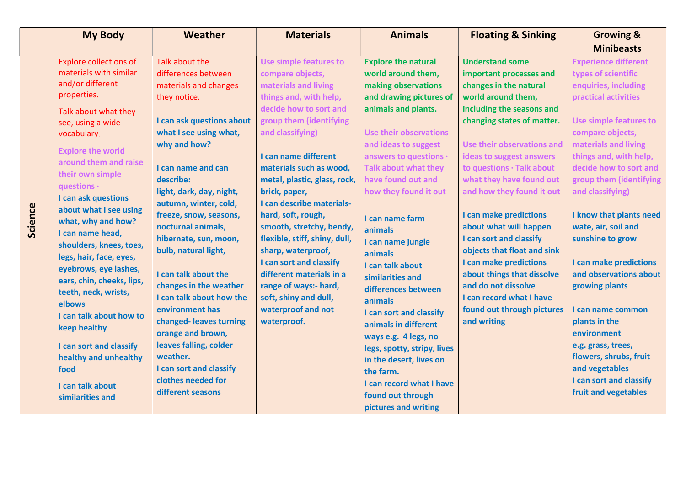|         | <b>My Body</b>                | Weather                   | <b>Materials</b>              | <b>Animals</b>                | <b>Floating &amp; Sinking</b> | <b>Growing &amp;</b>          |
|---------|-------------------------------|---------------------------|-------------------------------|-------------------------------|-------------------------------|-------------------------------|
|         |                               |                           |                               |                               |                               | <b>Minibeasts</b>             |
|         | <b>Explore collections of</b> | Talk about the            | <b>Use simple features to</b> | <b>Explore the natural</b>    | <b>Understand some</b>        | <b>Experience different</b>   |
|         | materials with similar        | differences between       | compare objects,              | world around them,            | important processes and       | types of scientific           |
|         | and/or different              | materials and changes     | materials and living          | making observations           | changes in the natural        | enquiries, including          |
|         | properties.                   | they notice.              | things and, with help,        | and drawing pictures of       | world around them,            | practical activities          |
|         | Talk about what they          |                           | decide how to sort and        | animals and plants.           | including the seasons and     |                               |
|         | see, using a wide             | I can ask questions about | group them (identifying       |                               | changing states of matter.    | <b>Use simple features to</b> |
|         | vocabulary.                   | what I see using what,    | and classifying)              | <b>Use their observations</b> |                               | compare objects,              |
|         | <b>Explore the world</b>      | why and how?              |                               | and ideas to suggest          | Use their observations and    | materials and living          |
|         | around them and raise         |                           | I can name different          | answers to questions ·        | ideas to suggest answers      | things and, with help,        |
|         | their own simple              | I can name and can        | materials such as wood,       | <b>Talk about what they</b>   | to questions · Talk about     | decide how to sort and        |
|         | questions ·                   | describe:                 | metal, plastic, glass, rock,  | have found out and            | what they have found out      | group them (identifying       |
|         | I can ask questions           | light, dark, day, night,  | brick, paper,                 | how they found it out         | and how they found it out     | and classifying)              |
|         | about what I see using        | autumn, winter, cold,     | I can describe materials-     |                               |                               |                               |
| Science | what, why and how?            | freeze, snow, seasons,    | hard, soft, rough,            | I can name farm               | I can make predictions        | I know that plants need       |
|         | I can name head,              | nocturnal animals,        | smooth, stretchy, bendy,      | animals                       | about what will happen        | wate, air, soil and           |
|         | shoulders, knees, toes,       | hibernate, sun, moon,     | flexible, stiff, shiny, dull, | I can name jungle             | I can sort and classify       | sunshine to grow              |
|         | legs, hair, face, eyes,       | bulb, natural light,      | sharp, waterproof,            | animals                       | objects that float and sink   |                               |
|         | eyebrows, eye lashes,         |                           | I can sort and classify       | I can talk about              | I can make predictions        | I can make predictions        |
|         | ears, chin, cheeks, lips,     | I can talk about the      | different materials in a      | similarities and              | about things that dissolve    | and observations about        |
|         | teeth, neck, wrists,          | changes in the weather    | range of ways:- hard,         | differences between           | and do not dissolve           | growing plants                |
|         | elbows                        | I can talk about how the  | soft, shiny and dull,         | animals                       | I can record what I have      |                               |
|         | I can talk about how to       | environment has           | waterproof and not            | I can sort and classify       | found out through pictures    | I can name common             |
|         | keep healthy                  | changed-leaves turning    | waterproof.                   | animals in different          | and writing                   | plants in the                 |
|         |                               | orange and brown,         |                               | ways e.g. 4 legs, no          |                               | environment                   |
|         | I can sort and classify       | leaves falling, colder    |                               | legs, spotty, stripy, lives   |                               | e.g. grass, trees,            |
|         | healthy and unhealthy         | weather.                  |                               | in the desert, lives on       |                               | flowers, shrubs, fruit        |
|         | food                          | I can sort and classify   |                               | the farm.                     |                               | and vegetables                |
|         | I can talk about              | clothes needed for        |                               | I can record what I have      |                               | I can sort and classify       |
|         | similarities and              | different seasons         |                               | found out through             |                               | fruit and vegetables          |
|         |                               |                           |                               | pictures and writing          |                               |                               |